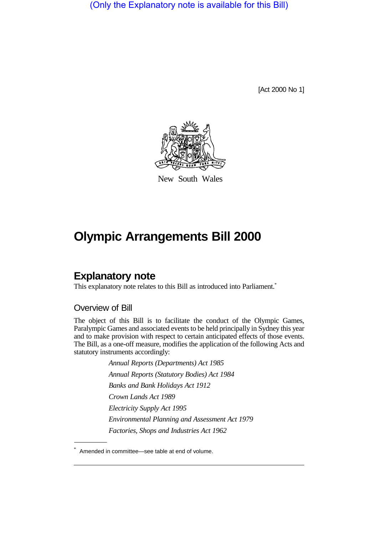(Only the Explanatory note is available for this Bill)

[Act 2000 No 1]



New South Wales

# **Olympic Arrangements Bill 2000**

# **Explanatory note**

This explanatory note relates to this Bill as introduced into Parliament.<sup>\*</sup>

### Overview of Bill

The object of this Bill is to facilitate the conduct of the Olympic Games, Paralympic Games and associated events to be held principally in Sydney this year and to make provision with respect to certain anticipated effects of those events. The Bill, as a one-off measure, modifies the application of the following Acts and statutory instruments accordingly:

> *Annual Reports (Departments) Act 1985 Annual Reports (Statutory Bodies) Act 1984 Banks and Bank Holidays Act 1912 Crown Lands Act 1989 Electricity Supply Act 1995 Environmental Planning and Assessment Act 1979 Factories, Shops and Industries Act 1962*

<sup>\*</sup> Amended in committee—see table at end of volume.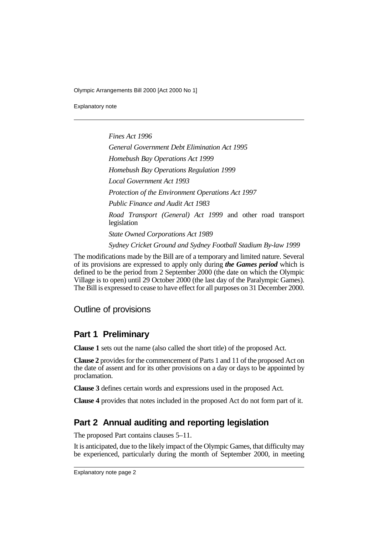Explanatory note

*Fines Act 1996 General Government Debt Elimination Act 1995 Homebush Bay Operations Act 1999 Homebush Bay Operations Regulation 1999 Local Government Act 1993 Protection of the Environment Operations Act 1997 Public Finance and Audit Act 1983 Road Transport (General) Act 1999* and other road transport legislation *State Owned Corporations Act 1989*

*Sydney Cricket Ground and Sydney Football Stadium By-law 1999*

The modifications made by the Bill are of a temporary and limited nature. Several of its provisions are expressed to apply only during *the Games period* which is defined to be the period from 2 September 2000 (the date on which the Olympic Village is to open) until 29 October 2000 (the last day of the Paralympic Games). The Bill is expressed to cease to have effect for all purposes on 31 December 2000.

### Outline of provisions

# **Part 1 Preliminary**

**Clause 1** sets out the name (also called the short title) of the proposed Act.

**Clause 2** provides for the commencement of Parts 1 and 11 of the proposed Act on the date of assent and for its other provisions on a day or days to be appointed by proclamation.

**Clause 3** defines certain words and expressions used in the proposed Act.

**Clause 4** provides that notes included in the proposed Act do not form part of it.

# **Part 2 Annual auditing and reporting legislation**

The proposed Part contains clauses 5–11.

It is anticipated, due to the likely impact of the Olympic Games, that difficulty may be experienced, particularly during the month of September 2000, in meeting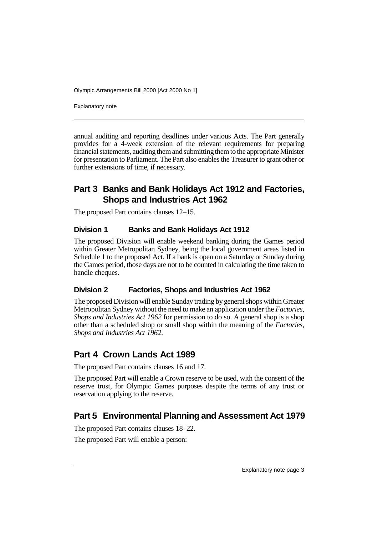Explanatory note

annual auditing and reporting deadlines under various Acts. The Part generally provides for a 4-week extension of the relevant requirements for preparing financial statements, auditing them and submitting them to the appropriate Minister for presentation to Parliament. The Part also enables the Treasurer to grant other or further extensions of time, if necessary.

# **Part 3 Banks and Bank Holidays Act 1912 and Factories, Shops and Industries Act 1962**

The proposed Part contains clauses 12–15.

#### **Division 1 Banks and Bank Holidays Act 1912**

The proposed Division will enable weekend banking during the Games period within Greater Metropolitan Sydney, being the local government areas listed in Schedule 1 to the proposed Act. If a bank is open on a Saturday or Sunday during the Games period, those days are not to be counted in calculating the time taken to handle cheques.

### **Division 2 Factories, Shops and Industries Act 1962**

The proposed Division will enable Sunday trading by general shops within Greater Metropolitan Sydney without the need to make an application under the *Factories, Shops and Industries Act 1962* for permission to do so. A general shop is a shop other than a scheduled shop or small shop within the meaning of the *Factories, Shops and Industries Act 1962*.

# **Part 4 Crown Lands Act 1989**

The proposed Part contains clauses 16 and 17.

The proposed Part will enable a Crown reserve to be used, with the consent of the reserve trust, for Olympic Games purposes despite the terms of any trust or reservation applying to the reserve.

# **Part 5 Environmental Planning and Assessment Act 1979**

The proposed Part contains clauses 18–22.

The proposed Part will enable a person: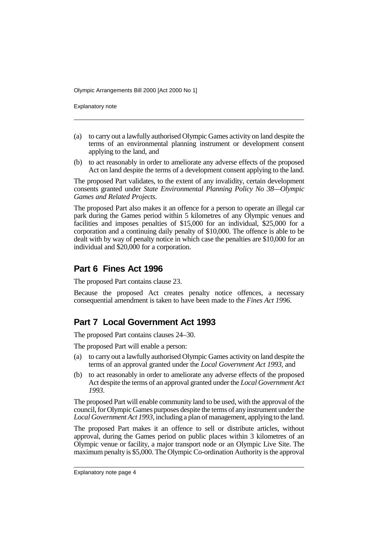Explanatory note

- (a) to carry out a lawfully authorised Olympic Games activity on land despite the terms of an environmental planning instrument or development consent applying to the land, and
- (b) to act reasonably in order to ameliorate any adverse effects of the proposed Act on land despite the terms of a development consent applying to the land.

The proposed Part validates, to the extent of any invalidity, certain development consents granted under *State Environmental Planning Policy No 38—Olympic Games and Related Projects*.

The proposed Part also makes it an offence for a person to operate an illegal car park during the Games period within 5 kilometres of any Olympic venues and facilities and imposes penalties of \$15,000 for an individual, \$25,000 for a corporation and a continuing daily penalty of \$10,000. The offence is able to be dealt with by way of penalty notice in which case the penalties are \$10,000 for an individual and \$20,000 for a corporation.

### **Part 6 Fines Act 1996**

The proposed Part contains clause 23.

Because the proposed Act creates penalty notice offences, a necessary consequential amendment is taken to have been made to the *Fines Act 1996*.

### **Part 7 Local Government Act 1993**

The proposed Part contains clauses 24–30.

The proposed Part will enable a person:

- (a) to carry out a lawfully authorised Olympic Games activity on land despite the terms of an approval granted under the *Local Government Act 1993*, and
- (b) to act reasonably in order to ameliorate any adverse effects of the proposed Act despite the terms of an approval granted under the *Local Government Act 1993*.

The proposed Part will enable community land to be used, with the approval of the council, for Olympic Games purposes despite the terms of any instrument under the *Local Government Act 1993*, including a plan of management, applying to the land.

The proposed Part makes it an offence to sell or distribute articles, without approval, during the Games period on public places within 3 kilometres of an Olympic venue or facility, a major transport node or an Olympic Live Site. The maximum penalty is \$5,000. The Olympic Co-ordination Authority is the approval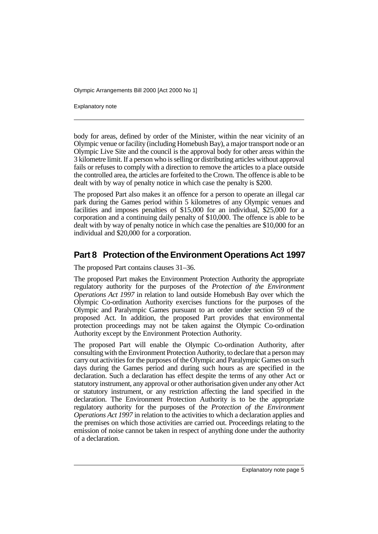Explanatory note

body for areas, defined by order of the Minister, within the near vicinity of an Olympic venue or facility (including Homebush Bay), a major transport node or an Olympic Live Site and the council is the approval body for other areas within the 3 kilometre limit. If a person who is selling or distributing articles without approval fails or refuses to comply with a direction to remove the articles to a place outside the controlled area, the articles are forfeited to the Crown. The offence is able to be dealt with by way of penalty notice in which case the penalty is \$200.

The proposed Part also makes it an offence for a person to operate an illegal car park during the Games period within 5 kilometres of any Olympic venues and facilities and imposes penalties of \$15,000 for an individual, \$25,000 for a corporation and a continuing daily penalty of \$10,000. The offence is able to be dealt with by way of penalty notice in which case the penalties are \$10,000 for an individual and \$20,000 for a corporation.

# **Part 8 Protection of the Environment Operations Act 1997**

The proposed Part contains clauses 31–36.

The proposed Part makes the Environment Protection Authority the appropriate regulatory authority for the purposes of the *Protection of the Environment Operations Act 1997* in relation to land outside Homebush Bay over which the Olympic Co-ordination Authority exercises functions for the purposes of the Olympic and Paralympic Games pursuant to an order under section 59 of the proposed Act. In addition, the proposed Part provides that environmental protection proceedings may not be taken against the Olympic Co-ordination Authority except by the Environment Protection Authority.

The proposed Part will enable the Olympic Co-ordination Authority, after consulting with the Environment Protection Authority, to declare that a person may carry out activities for the purposes of the Olympic and Paralympic Games on such days during the Games period and during such hours as are specified in the declaration. Such a declaration has effect despite the terms of any other Act or statutory instrument, any approval or other authorisation given under any other Act or statutory instrument, or any restriction affecting the land specified in the declaration. The Environment Protection Authority is to be the appropriate regulatory authority for the purposes of the *Protection of the Environment Operations Act 1997* in relation to the activities to which a declaration applies and the premises on which those activities are carried out. Proceedings relating to the emission of noise cannot be taken in respect of anything done under the authority of a declaration.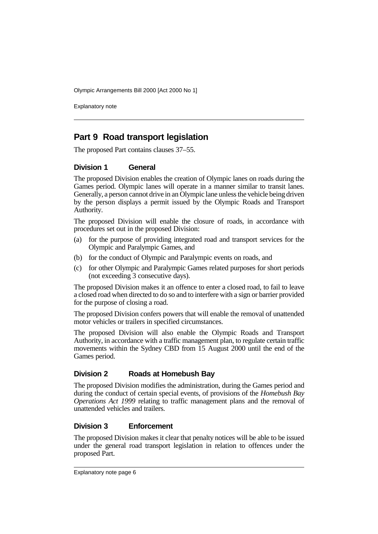Explanatory note

# **Part 9 Road transport legislation**

The proposed Part contains clauses 37–55.

#### **Division 1 General**

The proposed Division enables the creation of Olympic lanes on roads during the Games period. Olympic lanes will operate in a manner similar to transit lanes. Generally, a person cannot drive in an Olympic lane unless the vehicle being driven by the person displays a permit issued by the Olympic Roads and Transport Authority.

The proposed Division will enable the closure of roads, in accordance with procedures set out in the proposed Division:

- (a) for the purpose of providing integrated road and transport services for the Olympic and Paralympic Games, and
- (b) for the conduct of Olympic and Paralympic events on roads, and
- (c) for other Olympic and Paralympic Games related purposes for short periods (not exceeding 3 consecutive days).

The proposed Division makes it an offence to enter a closed road, to fail to leave a closed road when directed to do so and to interfere with a sign or barrier provided for the purpose of closing a road.

The proposed Division confers powers that will enable the removal of unattended motor vehicles or trailers in specified circumstances.

The proposed Division will also enable the Olympic Roads and Transport Authority, in accordance with a traffic management plan, to regulate certain traffic movements within the Sydney CBD from 15 August 2000 until the end of the Games period.

### **Division 2 Roads at Homebush Bay**

The proposed Division modifies the administration, during the Games period and during the conduct of certain special events, of provisions of the *Homebush Bay Operations Act 1999* relating to traffic management plans and the removal of unattended vehicles and trailers.

### **Division 3 Enforcement**

The proposed Division makes it clear that penalty notices will be able to be issued under the general road transport legislation in relation to offences under the proposed Part.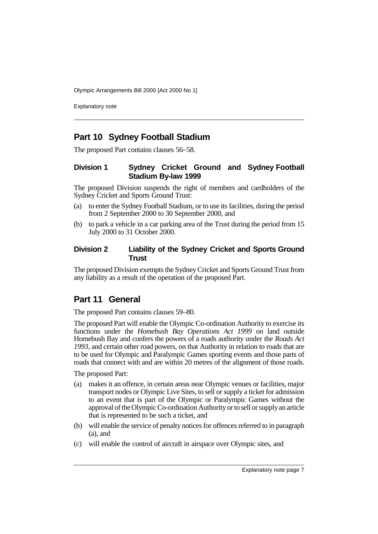Explanatory note

### **Part 10 Sydney Football Stadium**

The proposed Part contains clauses 56–58.

### **Division 1 Sydney Cricket Ground and Sydney Football Stadium By-law 1999**

The proposed Division suspends the right of members and cardholders of the Sydney Cricket and Sports Ground Trust:

- (a) to enter the Sydney Football Stadium, or to use its facilities, during the period from 2 September 2000 to 30 September 2000, and
- (b) to park a vehicle in a car parking area of the Trust during the period from 15 July 2000 to 31 October 2000.

#### **Division 2 Liability of the Sydney Cricket and Sports Ground Trust**

The proposed Division exempts the Sydney Cricket and Sports Ground Trust from any liability as a result of the operation of the proposed Part.

# **Part 11 General**

The proposed Part contains clauses 59–80.

The proposed Part will enable the Olympic Co-ordination Authority to exercise its functions under the *Homebush Bay Operations Act 1999* on land outside Homebush Bay and confers the powers of a roads authority under the *Roads Act 1993*, and certain other road powers, on that Authority in relation to roads that are to be used for Olympic and Paralympic Games sporting events and those parts of roads that connect with and are within 20 metres of the alignment of those roads.

The proposed Part:

- (a) makes it an offence, in certain areas near Olympic venues or facilities, major transport nodes or Olympic Live Sites, to sell or supply a ticket for admission to an event that is part of the Olympic or Paralympic Games without the approval of the Olympic Co-ordination Authority or to sell or supply an article that is represented to be such a ticket, and
- (b) will enable the service of penalty notices for offences referred to in paragraph (a), and
- (c) will enable the control of aircraft in airspace over Olympic sites, and